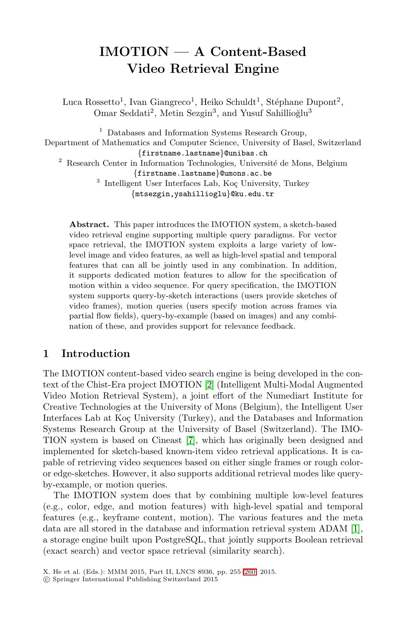# **IMOTION — A Content-Based Video Retrieval Engine**

Luca Rossetto<sup>1</sup>, Ivan Giangreco<sup>1</sup>, Heiko Schuldt<sup>1</sup>, Stéphane Dupont<sup>2</sup>, Omar Seddati<sup>2</sup>, Metin Sezgin<sup>3</sup>, and Yusuf Sahillioğlu<sup>3</sup>

 $^{\rm 1}$  Databases and Information Systems Research Group, Department of Mathematics and Computer Science, University of Basel, Switzerland *{*firstname.lastname*}*@unibas.ch <sup>2</sup> Research Center in Information Technologies, Universit´e de Mons, Belgium {firstname.lastname}@umons.ac.be<br><sup>3</sup> Intelligent User Interfaces Lab, Koç University, Turkey *{*mtsezgin,ysahillioglu*}*@ku.edu.tr

**Abstract.** This paper introduces the IMOTION system, a sketch-based video retrieval engine supporting multiple query paradigms. For vector space retrieval, the IMOTION system exploits a large variety of lowlevel image and video features, as well as high-level spatial and temporal features that can all be jointly used in any combination. In addition, it supports dedicated motion features to allow for the specification of motion within a video sequence. For query specification, the IMOTION system supports [qu](#page-5-0)ery-by-sketch interactions (users provide sketches of video frames), motion queries (users specify motion across frames via partial flow fields), query-by-example (based on images) and any combination of these, and provides support for relevance feedback.

## **1 Introduct[io](#page-5-1)n**

The IMOTION content-based video search engine is being developed in the context of the Chist-Era project IMOTION [2] (Intelligent Multi-Modal Augmented Video Motion Retrieval System), a joint effort of the Numediart Institute for Creative Technologies at the University of Mons (Belgium), the Intelligent User Interfaces Lab at Koç University (Turkey), and the Databases and Information Systems Research Group at the University of Basel (Switzerland). The IMO-TION system is based on Cineast [7], which has originall[y](#page-5-2) been designed and implemented for sketch-based known-item video retrieval applications. It is capable of retrieving video sequences based on either single frames or rough coloror edge-sketches. However, it also supports additional retrieval modes like queryby-example, or motion queries.

The IMOTION system does that by combining multiple low-level features (e.g., color, edge, and motion features) with high-level spatial and temporal features (e.g., keyframe content, motion). The various features and the meta data are all stored in the database and information retrieval system ADAM [1], a storage engine built upon PostgreSQL, that jointly supports Boolean retrieval (exact search) and vector space retrieval (similarity search).

X. He et al. (Eds.): MMM 2015, Part II, LNCS 8936, pp. 255–260, 2015.

<sup>-</sup>c Springer International Publishing Switzerland 2015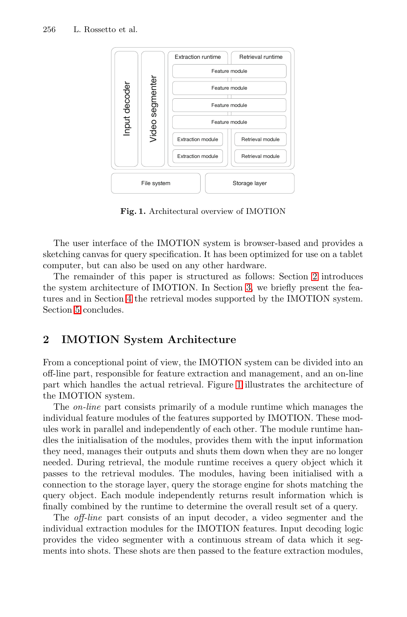256 L. Rossetto et al.

<span id="page-1-0"></span>

**Fig. 1.** Archit[ec](#page-2-0)tural overview of IMOTION

The user interface of the IMOTION system is browser-based and provides a sketching canvas for query specification. It has been optimized for use on a tablet computer, but can also be used on any other hardware.

The remainder of this paper is structured as follows: Section 2 introduces the system architecture of IMOTION. In Section 3, we briefly present the features and in Section 4 the ret[rie](#page-1-0)val modes supported by the IMOTION system. Section 5 concludes.

# **2 IMOTION System Architecture**

From a conceptional point of view, the IMOTION system can be divided into an off-line part, responsible for feature extraction and management, and an on-line part which handles the actual retrieval. Figure 1 illustrates the architecture of the IMOTION system.

The *on-line* part consists primarily of a module runtime which manages the individual feature modules of the features supported by IMOTION. These modules work in parallel and independently of each other. The module runtime handles the initialisation of the modules, provides them with the input information they need, manages their outputs and shuts them down when they are no longer needed. During retrieval, the module runtime receives a query object which it passes to the retrieval modules. The modules, having been initialised with a connection to the storage layer, query the storage engine for shots matching the query object. Each module independently returns result information which is finally combined by the runtime to determine the overall result set of a query.

The *off-line* part consists of an input decoder, a video segmenter and the individual extraction modules for the IMOTION features. Input decoding logic provides the video segmenter with a continuous stream of data which it segments into shots. These shots are then passed to the feature extraction modules,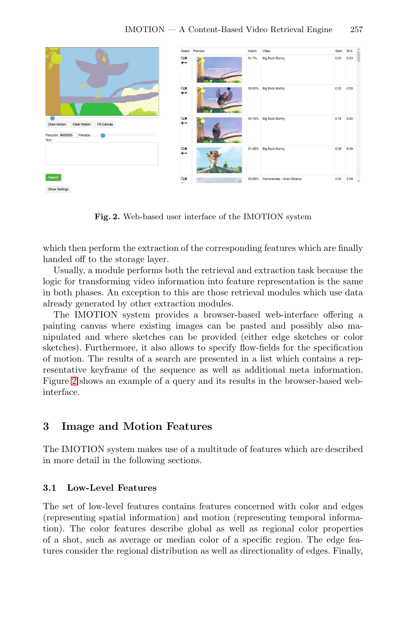

**Fig. 2.** Web-based user interface of the IMOTION system

 $\alpha$ 

<span id="page-2-0"></span>which then perform the extraction of the corresponding features which are finally handed off to the storage layer.

Usually, a module performs both the retrieval and extraction task because the logic for transforming video information into feature representation is the same in both phases. An exception to this are those retrieval modules which use data already generated by other extraction modules.

The IMOTION system provides a browser-based web-interface offering a painting canvas where existing images can be pasted and possibly also manipulated and where sketches can be provided (either edge sketches or color sketches). Furthermore, it also allows to specify flow-fields for the specification of motion. The results of a search are presented in a list which contains a representative keyframe of the sequence as well as additional meta information. Figure 2 shows an example of a query and its results in the browser-based webinterface.

## **3 Image and Motion Features**

The IMOTION system makes use of a multitude of features which are described in more detail in the following sections.

#### **3.1 Low-Level Features**

Show Set

The set of low-level features contains features concerned with color and edges (representing spatial information) and motion (representing temporal information). The color features describe global as well as regional color properties of a shot, such as average or median color of a specific region. The edge features consider the regional distribution as well as directionality of edges. Finally,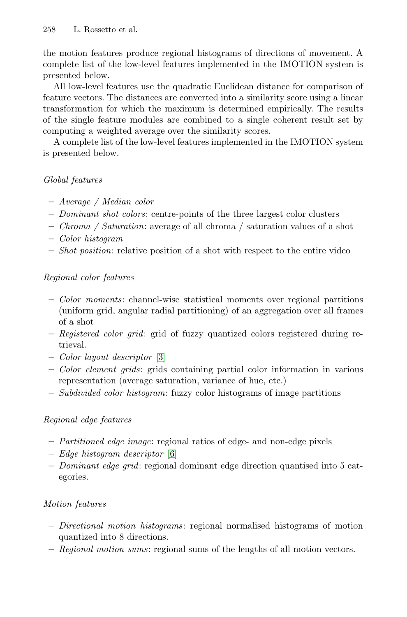#### 258 L. Rossetto et al.

the motion features produce regional histograms of directions of movement. A complete list of the low-level features implemented in the IMOTION system is presented below.

All low-level features use the quadratic Euclidean distance for comparison of feature vectors. The distances are converted into a similarity score using a linear transformation for which the maximum is determined empirically. The results of the single feature modules are combined to a single coherent result set by computing a weighted average over the similarity scores.

A complete list of the low-level features implemented in the IMOTION system is presented below.

#### *Global features*

- **–** *Average / Median color*
- **–** *Dominant shot colors*: centre-points of the three largest color clusters
- **–** *Chroma / Saturation*: average of all chroma / saturation values of a shot **–** *Color histogram*
- **–** *Shot position*: relative position of a shot with respect to the entire video

#### *Regional c[olo](#page-5-3)r features*

- **–** *Color moments*: channel-wise statistical moments over regional partitions (uniform grid, angular radial partitioning) of an aggregation over all frames of a shot
- **–** *Registered color grid*: grid of fuzzy quantized colors registered during retrieval.
- **–** *Color layout descriptor* [3]
- **–** *Color ele[m](#page-5-4)ent grids*: grids containing partial color information in various representation (average saturation, variance of hue, etc.)
- **–** *Subdivided color histogram*: fuzzy color histograms of image partitions

## *Regional edge features*

- **–** *Partitioned edge image*: regional ratios of edge- and non-edge pixels
- **–** *Edge histogram descriptor* [6]
- **–** *Dominant edge grid*: regional dominant edge direction quantised into 5 categories.

#### *Motion features*

- **–** *Directional motion histograms*: regional normalised histograms of motion quantized into 8 directions.
- **–** *Regional motion sums*: regional sums of the lengths of all motion vectors.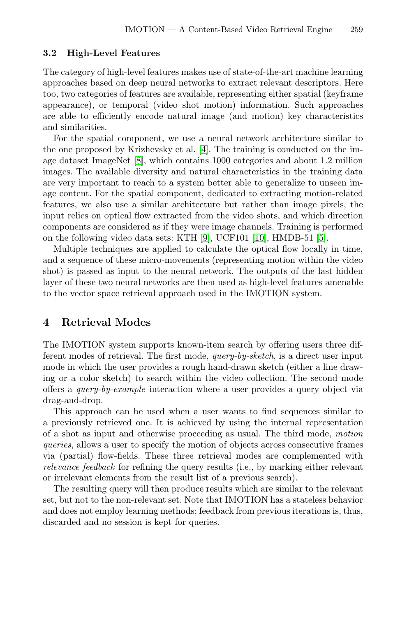#### **3.2 High-Level Features**

The [ca](#page-5-6)tegory of high-[lev](#page-5-5)el features makes use of state-of-the-art machine learning approaches based on deep neural networks to extract relevant descriptors. Here too, two categories of features are available, representing either spatial (keyframe appearance), or temporal (video shot motion) information. Such approaches are able to efficiently encode natural image (and motion) key characteristics and similarities.

For the spatial component, we use a neural network architecture similar to the one proposed by [Kr](#page-5-7)izhevsky e[t al](#page-5-8). [4]. The tra[ini](#page-5-9)ng is conducted on the image dataset ImageNet [8], which contains 1000 categories and about 1.2 million images. The available diversity and natural characteristics in the training data are very important to reach to a system better able to generalize to unseen image content. For the spatial component, dedicated to extracting motion-related features, we also use a similar architecture but rather than image pixels, the input relies on optical flow extracted from the video shots, and which direction components are considered as if they were image channels. Training is performed on the following video data sets: KTH [9], UCF101 [10], HMDB-51 [5].

Multiple techniques are applied to calculate the optical flow locally in time, and a sequence of these micro-movements (representing motion within the video shot) is passed as input to the neural network. The outputs of the last hidden layer of these two neural networks are then used as high-level features amenable to the vector space retrieval approach used in the IMOTION system.

# **4 Retrieval Modes**

The IMOTION system supports known-item search by offering users three different modes of retrieval. The first mode, *query-by-sketch*, is a direct user input mode in which the user provides a rough hand-drawn sketch (either a line drawing or a color sketch) to search within the video collection. The second mode offers a *query-by-example* interaction where a user provides a query object via drag-and-drop.

This approach can be used when a user wants to find sequences similar to a previously retrieved one. It is achieved by using the internal representation of a shot as input and otherwise proceeding as usual. The third mode, *motion queries*, allows a user to specify the motion of objects across consecutive frames via (partial) flow-fields. These three retrieval modes are complemented with *relevance feedback* for refining the query results (i.e., by marking either relevant or irrelevant elements from the result list of a previous search).

The resulting query will then produce results which are similar to the relevant set, but not to the non-relevant set. Note that IMOTION has a stateless behavior and does not employ learning methods; feedback from previous iterations is, thus, discarded and no session is kept for queries.